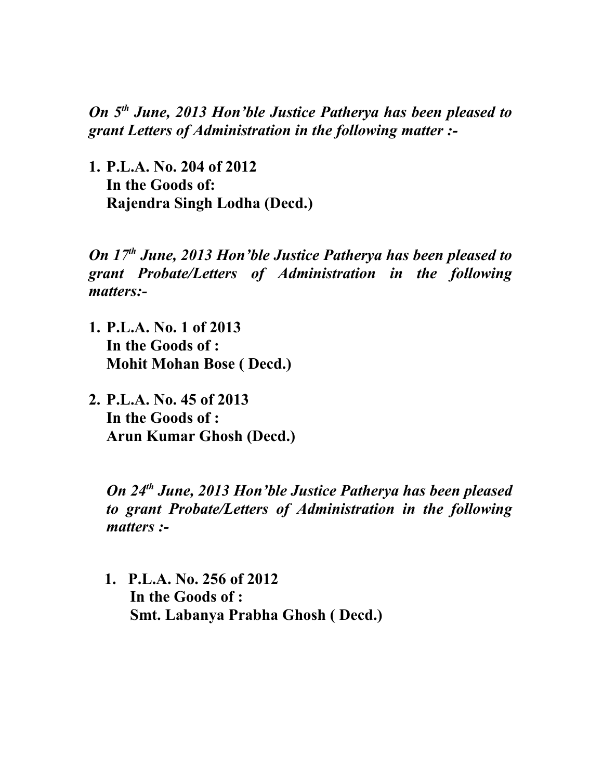*On 5th June, 2013 Hon'ble Justice Patherya has been pleased to grant Letters of Administration in the following matter :-*

**1. P.L.A. No. 204 of 2012 In the Goods of: Rajendra Singh Lodha (Decd.)**

*On 17th June, 2013 Hon'ble Justice Patherya has been pleased to grant Probate/Letters of Administration in the following matters:-*

- **1. P.L.A. No. 1 of 2013 In the Goods of : Mohit Mohan Bose ( Decd.)**
- **2. P.L.A. No. 45 of 2013 In the Goods of : Arun Kumar Ghosh (Decd.)**

*On 24th June, 2013 Hon'ble Justice Patherya has been pleased to grant Probate/Letters of Administration in the following matters :-*

 **1. P.L.A. No. 256 of 2012 In the Goods of : Smt. Labanya Prabha Ghosh ( Decd.)**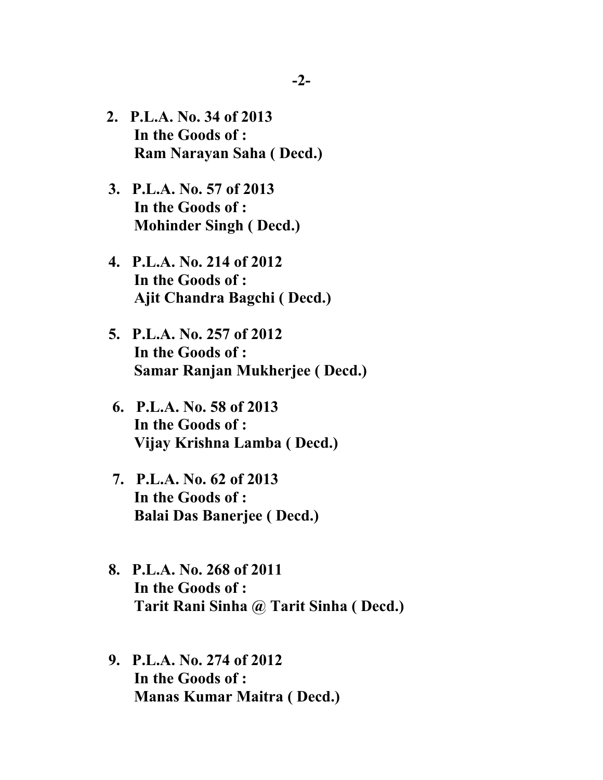- **2. P.L.A. No. 34 of 2013 In the Goods of : Ram Narayan Saha ( Decd.)**
- **3. P.L.A. No. 57 of 2013 In the Goods of : Mohinder Singh ( Decd.)**
- **4. P.L.A. No. 214 of 2012 In the Goods of : Ajit Chandra Bagchi ( Decd.)**
- **5. P.L.A. No. 257 of 2012 In the Goods of : Samar Ranjan Mukherjee ( Decd.)**
- **6. P.L.A. No. 58 of 2013 In the Goods of : Vijay Krishna Lamba ( Decd.)**
- **7. P.L.A. No. 62 of 2013 In the Goods of : Balai Das Banerjee ( Decd.)**
- **8. P.L.A. No. 268 of 2011 In the Goods of : Tarit Rani Sinha @ Tarit Sinha ( Decd.)**
- **9. P.L.A. No. 274 of 2012 In the Goods of : Manas Kumar Maitra ( Decd.)**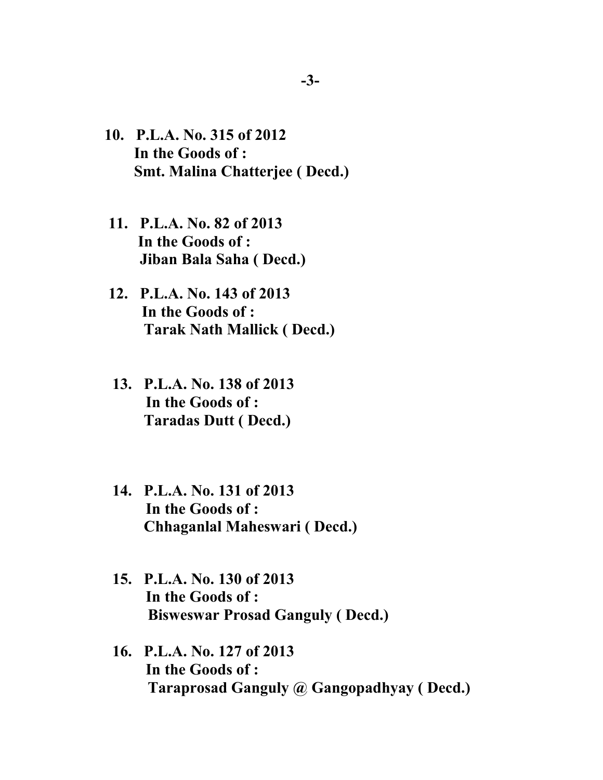- **10. P.L.A. No. 315 of 2012 In the Goods of : Smt. Malina Chatterjee ( Decd.)**
- **11. P.L.A. No. 82 of 2013 In the Goods of : Jiban Bala Saha ( Decd.)**
- **12. P.L.A. No. 143 of 2013 In the Goods of : Tarak Nath Mallick ( Decd.)**
- **13. P.L.A. No. 138 of 2013 In the Goods of : Taradas Dutt ( Decd.)**
- **14. P.L.A. No. 131 of 2013 In the Goods of : Chhaganlal Maheswari ( Decd.)**
- **15. P.L.A. No. 130 of 2013 In the Goods of : Bisweswar Prosad Ganguly ( Decd.)**
- **16. P.L.A. No. 127 of 2013 In the Goods of : Taraprosad Ganguly @ Gangopadhyay ( Decd.)**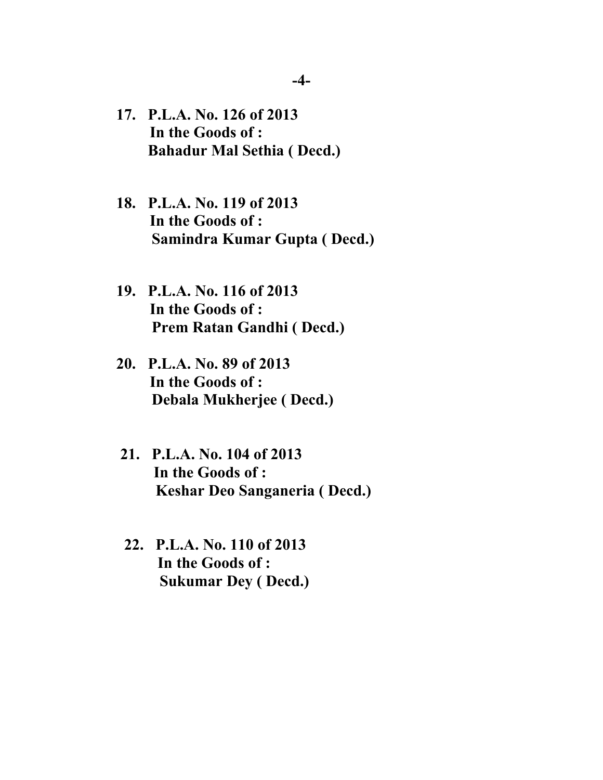- **17. P.L.A. No. 126 of 2013 In the Goods of : Bahadur Mal Sethia ( Decd.)**
- **18. P.L.A. No. 119 of 2013 In the Goods of : Samindra Kumar Gupta ( Decd.)**
- **19. P.L.A. No. 116 of 2013 In the Goods of : Prem Ratan Gandhi ( Decd.)**
- **20. P.L.A. No. 89 of 2013 In the Goods of : Debala Mukherjee ( Decd.)**
- **21. P.L.A. No. 104 of 2013 In the Goods of : Keshar Deo Sanganeria ( Decd.)**
- **22. P.L.A. No. 110 of 2013 In the Goods of : Sukumar Dey ( Decd.)**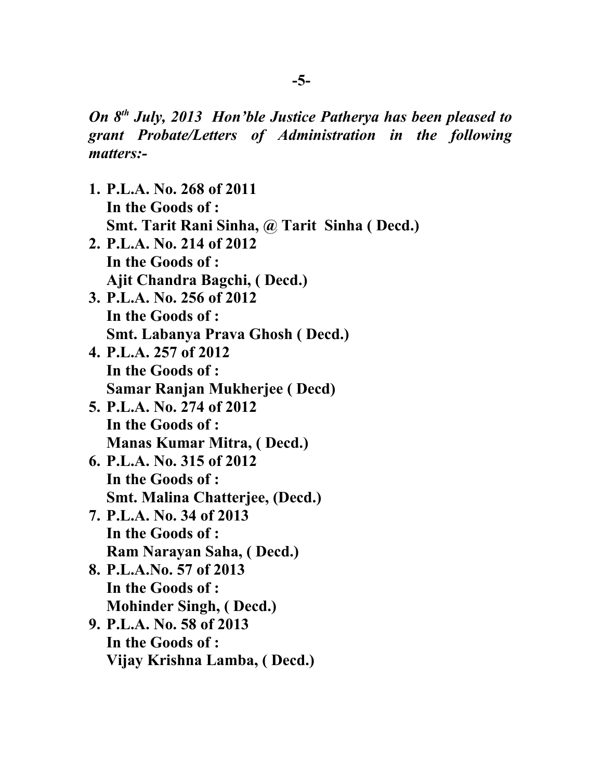*On 8th July, 2013 Hon'ble Justice Patherya has been pleased to grant Probate/Letters of Administration in the following matters:-*

- **1. P.L.A. No. 268 of 2011 In the Goods of : Smt. Tarit Rani Sinha, @ Tarit Sinha ( Decd.)**
- **2. P.L.A. No. 214 of 2012 In the Goods of : Ajit Chandra Bagchi, ( Decd.)**
- **3. P.L.A. No. 256 of 2012 In the Goods of : Smt. Labanya Prava Ghosh ( Decd.)**
- **4. P.L.A. 257 of 2012 In the Goods of : Samar Ranjan Mukherjee ( Decd)**
- **5. P.L.A. No. 274 of 2012 In the Goods of : Manas Kumar Mitra, ( Decd.)**
- **6. P.L.A. No. 315 of 2012 In the Goods of : Smt. Malina Chatterjee, (Decd.)**
- **7. P.L.A. No. 34 of 2013 In the Goods of : Ram Narayan Saha, ( Decd.)**
- **8. P.L.A.No. 57 of 2013 In the Goods of : Mohinder Singh, ( Decd.)**
- **9. P.L.A. No. 58 of 2013 In the Goods of : Vijay Krishna Lamba, ( Decd.)**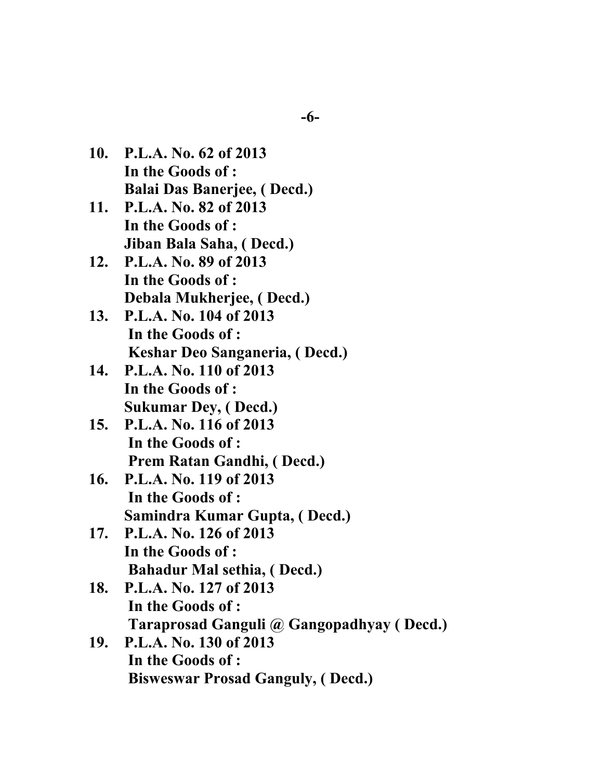- **10. P.L.A. No. 62 of 2013 In the Goods of : Balai Das Banerjee, ( Decd.)**
- **11. P.L.A. No. 82 of 2013 In the Goods of : Jiban Bala Saha, ( Decd.)**
- **12. P.L.A. No. 89 of 2013 In the Goods of : Debala Mukherjee, ( Decd.)**
- **13. P.L.A. No. 104 of 2013 In the Goods of : Keshar Deo Sanganeria, ( Decd.)**
- **14. P.L.A. No. 110 of 2013 In the Goods of : Sukumar Dey, ( Decd.)**
- **15. P.L.A. No. 116 of 2013 In the Goods of : Prem Ratan Gandhi, ( Decd.)**
- **16. P.L.A. No. 119 of 2013 In the Goods of : Samindra Kumar Gupta, ( Decd.)**
- **17. P.L.A. No. 126 of 2013 In the Goods of : Bahadur Mal sethia, ( Decd.)**
- **18. P.L.A. No. 127 of 2013 In the Goods of : Taraprosad Ganguli @ Gangopadhyay ( Decd.)**
- **19. P.L.A. No. 130 of 2013 In the Goods of : Bisweswar Prosad Ganguly, ( Decd.)**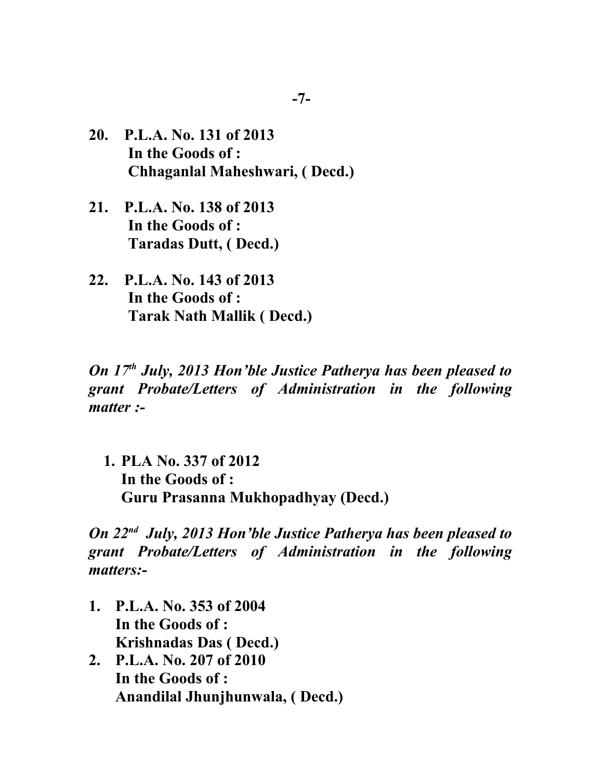- **20. P.L.A. No. 131 of 2013 In the Goods of : Chhaganlal Maheshwari, ( Decd.)**
- **21. P.L.A. No. 138 of 2013 In the Goods of : Taradas Dutt, ( Decd.)**
- **22. P.L.A. No. 143 of 2013 In the Goods of : Tarak Nath Mallik ( Decd.)**

*On 17th July, 2013 Hon'ble Justice Patherya has been pleased to grant Probate/Letters of Administration in the following matter :-*

**1. PLA No. 337 of 2012 In the Goods of : Guru Prasanna Mukhopadhyay (Decd.)**

*On 22nd July, 2013 Hon'ble Justice Patherya has been pleased to grant Probate/Letters of Administration in the following matters:-*

- **1. P.L.A. No. 353 of 2004 In the Goods of : Krishnadas Das ( Decd.)**
- **2. P.L.A. No. 207 of 2010 In the Goods of : Anandilal Jhunjhunwala, ( Decd.)**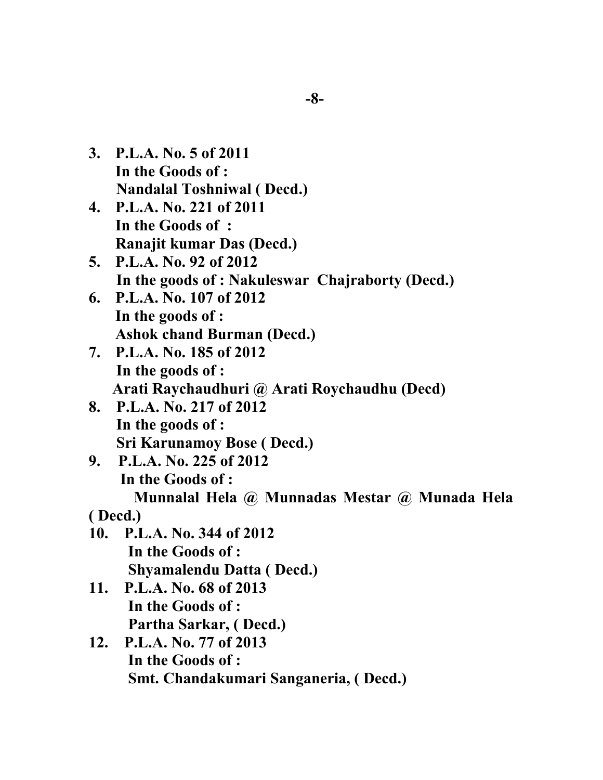- **3. P.L.A. No. 5 of 2011 In the Goods of : Nandalal Toshniwal ( Decd.)**
- **4. P.L.A. No. 221 of 2011 In the Goods of : Ranajit kumar Das (Decd.)**
- **5. P.L.A. No. 92 of 2012 In the goods of : Nakuleswar Chajraborty (Decd.)**
- **6. P.L.A. No. 107 of 2012 In the goods of : Ashok chand Burman (Decd.)**
- **7. P.L.A. No. 185 of 2012 In the goods of : Arati Raychaudhuri @ Arati Roychaudhu (Decd)**
- **8. P.L.A. No. 217 of 2012 In the goods of : Sri Karunamoy Bose ( Decd.)**
- **9. P.L.A. No. 225 of 2012 In the Goods of : Munnalal Hela @ Munnadas Mestar @ Munada Hela**

## **( Decd.)**

- **10. P.L.A. No. 344 of 2012 In the Goods of : Shyamalendu Datta ( Decd.)**
- **11. P.L.A. No. 68 of 2013 In the Goods of : Partha Sarkar, ( Decd.)**
- **12. P.L.A. No. 77 of 2013 In the Goods of : Smt. Chandakumari Sanganeria, ( Decd.)**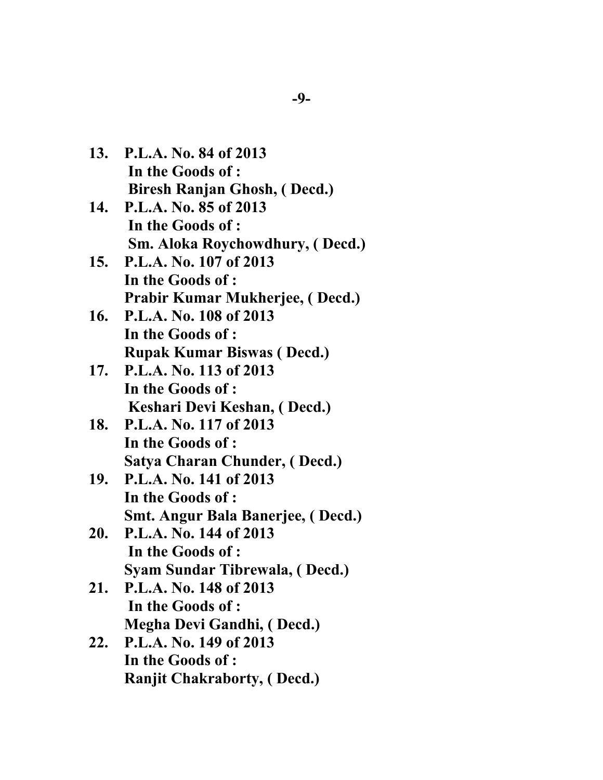| 13. P.L.A. No. 84 of 2013           |
|-------------------------------------|
| In the Goods of :                   |
| <b>Biresh Ranjan Ghosh, (Decd.)</b> |

- **14. P.L.A. No. 85 of 2013 In the Goods of : Sm. Aloka Roychowdhury, ( Decd.)**
- **15. P.L.A. No. 107 of 2013 In the Goods of : Prabir Kumar Mukherjee, ( Decd.)**
- **16. P.L.A. No. 108 of 2013 In the Goods of : Rupak Kumar Biswas ( Decd.)**
- **17. P.L.A. No. 113 of 2013 In the Goods of : Keshari Devi Keshan, ( Decd.)**
- **18. P.L.A. No. 117 of 2013 In the Goods of : Satya Charan Chunder, ( Decd.)**
- **19. P.L.A. No. 141 of 2013 In the Goods of : Smt. Angur Bala Banerjee, ( Decd.)**
- **20. P.L.A. No. 144 of 2013 In the Goods of : Syam Sundar Tibrewala, ( Decd.)**
- **21. P.L.A. No. 148 of 2013 In the Goods of : Megha Devi Gandhi, ( Decd.)**
- **22. P.L.A. No. 149 of 2013 In the Goods of : Ranjit Chakraborty, ( Decd.)**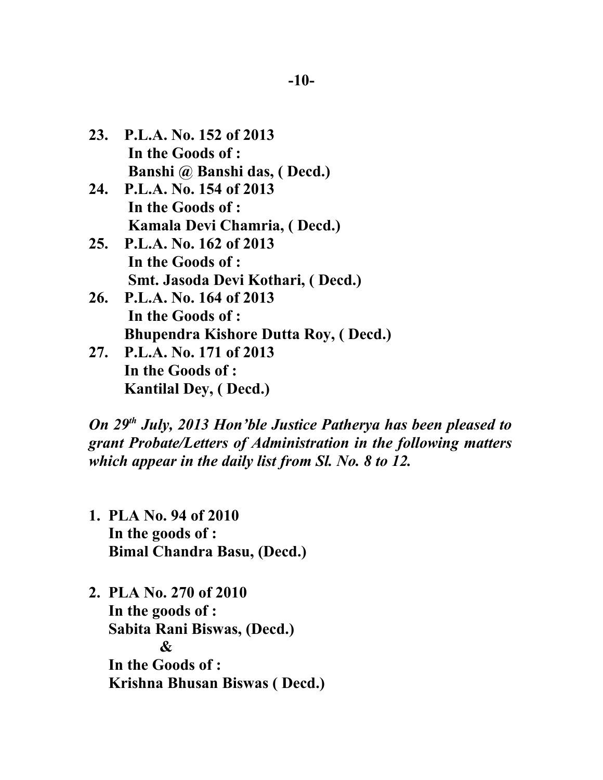- **23. P.L.A. No. 152 of 2013 In the Goods of : Banshi @ Banshi das, ( Decd.)**
- **24. P.L.A. No. 154 of 2013 In the Goods of : Kamala Devi Chamria, ( Decd.)**
- **25. P.L.A. No. 162 of 2013 In the Goods of : Smt. Jasoda Devi Kothari, ( Decd.)**
- **26. P.L.A. No. 164 of 2013 In the Goods of : Bhupendra Kishore Dutta Roy, ( Decd.)**
- **27. P.L.A. No. 171 of 2013 In the Goods of : Kantilal Dey, ( Decd.)**

*On 29th July, 2013 Hon'ble Justice Patherya has been pleased to grant Probate/Letters of Administration in the following matters which appear in the daily list from Sl. No. 8 to 12.*

- **1. PLA No. 94 of 2010 In the goods of : Bimal Chandra Basu, (Decd.)**
- **2. PLA No. 270 of 2010 In the goods of : Sabita Rani Biswas, (Decd.) & In the Goods of : Krishna Bhusan Biswas ( Decd.)**